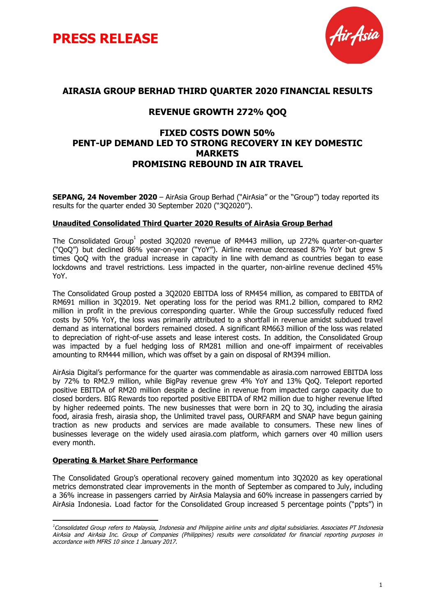



#### **AIRASIA GROUP BERHAD THIRD QUARTER 2020 FINANCIAL RESULTS**

### **REVENUE GROWTH 272% QOQ**

#### **FIXED COSTS DOWN 50% PENT-UP DEMAND LED TO STRONG RECOVERY IN KEY DOMESTIC MARKETS PROMISING REBOUND IN AIR TRAVEL**

**SEPANG, 24 November 2020** – AirAsia Group Berhad ("AirAsia" or the "Group") today reported its results for the quarter ended 30 September 2020 ("3Q2020").

#### **Unaudited Consolidated Third Quarter 2020 Results of AirAsia Group Berhad**

The Consolidated Group<sup>1</sup> posted 3Q2020 revenue of RM443 million, up 272% quarter-on-quarter ("QoQ") but declined 86% year-on-year ("YoY"). Airline revenue decreased 87% YoY but grew 5 times QoQ with the gradual increase in capacity in line with demand as countries began to ease lockdowns and travel restrictions. Less impacted in the quarter, non-airline revenue declined 45% YoY.

The Consolidated Group posted a 3Q2020 EBITDA loss of RM454 million, as compared to EBITDA of RM691 million in 3Q2019. Net operating loss for the period was RM1.2 billion, compared to RM2 million in profit in the previous corresponding quarter. While the Group successfully reduced fixed costs by 50% YoY, the loss was primarily attributed to a shortfall in revenue amidst subdued travel demand as international borders remained closed. A significant RM663 million of the loss was related to depreciation of right-of-use assets and lease interest costs. In addition, the Consolidated Group was impacted by a fuel hedging loss of RM281 million and one-off impairment of receivables amounting to RM444 million, which was offset by a gain on disposal of RM394 million.

AirAsia Digital's performance for the quarter was commendable as airasia.com narrowed EBITDA loss by 72% to RM2.9 million, while BigPay revenue grew 4% YoY and 13% QoQ. Teleport reported positive EBITDA of RM20 million despite a decline in revenue from impacted cargo capacity due to closed borders. BIG Rewards too reported positive EBITDA of RM2 million due to higher revenue lifted by higher redeemed points. The new businesses that were born in 2Q to 3Q, including the airasia food, airasia fresh, airasia shop, the Unlimited travel pass, OURFARM and SNAP have begun gaining traction as new products and services are made available to consumers. These new lines of businesses leverage on the widely used airasia.com platform, which garners over 40 million users every month.

#### **Operating & Market Share Performance**

The Consolidated Group's operational recovery gained momentum into 3Q2020 as key operational metrics demonstrated clear improvements in the month of September as compared to July, including a 36% increase in passengers carried by AirAsia Malaysia and 60% increase in passengers carried by AirAsia Indonesia. Load factor for the Consolidated Group increased 5 percentage points ("ppts") in

<sup>&</sup>lt;sup>1</sup>Consolidated Group refers to Malaysia, Indonesia and Philippine airline units and digital subsidiaries. Associates PT Indonesia AirAsia and AirAsia Inc. Group of Companies (Philippines) results were consolidated for financial reporting purposes in accordance with MFRS 10 since 1 January 2017.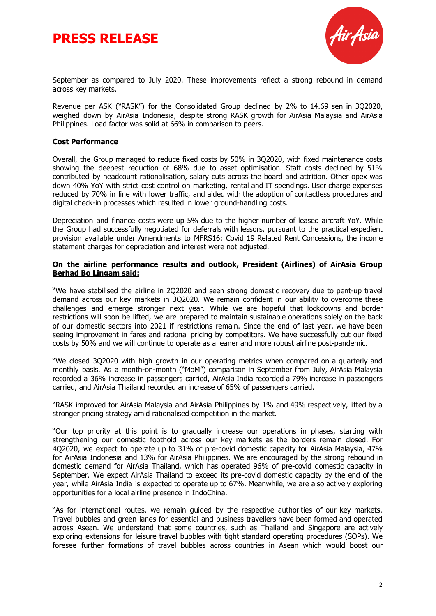



September as compared to July 2020. These improvements reflect a strong rebound in demand across key markets.

Revenue per ASK ("RASK") for the Consolidated Group declined by 2% to 14.69 sen in 3Q2020, weighed down by AirAsia Indonesia, despite strong RASK growth for AirAsia Malaysia and AirAsia Philippines. Load factor was solid at 66% in comparison to peers.

#### **Cost Performance**

Overall, the Group managed to reduce fixed costs by 50% in 3Q2020, with fixed maintenance costs showing the deepest reduction of 68% due to asset optimisation. Staff costs declined by 51% contributed by headcount rationalisation, salary cuts across the board and attrition. Other opex was down 40% YoY with strict cost control on marketing, rental and IT spendings. User charge expenses reduced by 70% in line with lower traffic, and aided with the adoption of contactless procedures and digital check-in processes which resulted in lower ground-handling costs.

Depreciation and finance costs were up 5% due to the higher number of leased aircraft YoY. While the Group had successfully negotiated for deferrals with lessors, pursuant to the practical expedient provision available under Amendments to MFRS16: Covid 19 Related Rent Concessions, the income statement charges for depreciation and interest were not adjusted.

#### **On the airline performance results and outlook, President (Airlines) of AirAsia Group Berhad Bo Lingam said:**

"We have stabilised the airline in 2Q2020 and seen strong domestic recovery due to pent-up travel demand across our key markets in 3Q2020. We remain confident in our ability to overcome these challenges and emerge stronger next year. While we are hopeful that lockdowns and border restrictions will soon be lifted, we are prepared to maintain sustainable operations solely on the back of our domestic sectors into 2021 if restrictions remain. Since the end of last year, we have been seeing improvement in fares and rational pricing by competitors. We have successfully cut our fixed costs by 50% and we will continue to operate as a leaner and more robust airline post-pandemic.

"We closed 3Q2020 with high growth in our operating metrics when compared on a quarterly and monthly basis. As a month-on-month ("MoM") comparison in September from July, AirAsia Malaysia recorded a 36% increase in passengers carried, AirAsia India recorded a 79% increase in passengers carried, and AirAsia Thailand recorded an increase of 65% of passengers carried.

"RASK improved for AirAsia Malaysia and AirAsia Philippines by 1% and 49% respectively, lifted by a stronger pricing strategy amid rationalised competition in the market.

"Our top priority at this point is to gradually increase our operations in phases, starting with strengthening our domestic foothold across our key markets as the borders remain closed. For 4Q2020, we expect to operate up to 31% of pre-covid domestic capacity for AirAsia Malaysia, 47% for AirAsia Indonesia and 13% for AirAsia Philippines. We are encouraged by the strong rebound in domestic demand for AirAsia Thailand, which has operated 96% of pre-covid domestic capacity in September. We expect AirAsia Thailand to exceed its pre-covid domestic capacity by the end of the year, while AirAsia India is expected to operate up to 67%. Meanwhile, we are also actively exploring opportunities for a local airline presence in IndoChina.

"As for international routes, we remain guided by the respective authorities of our key markets. Travel bubbles and green lanes for essential and business travellers have been formed and operated across Asean. We understand that some countries, such as Thailand and Singapore are actively exploring extensions for leisure travel bubbles with tight standard operating procedures (SOPs). We foresee further formations of travel bubbles across countries in Asean which would boost our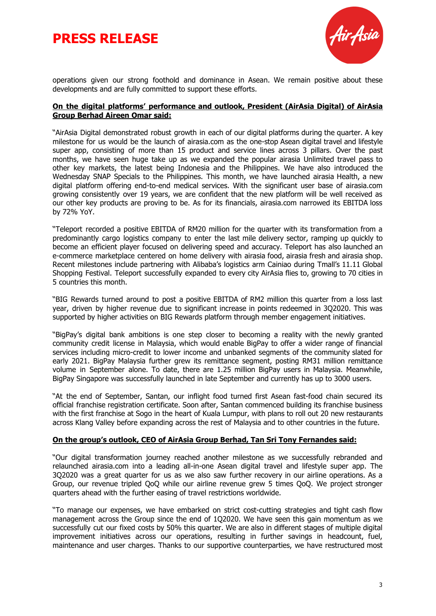



operations given our strong foothold and dominance in Asean. We remain positive about these developments and are fully committed to support these efforts.

#### **On the digital platforms' performance and outlook, President (AirAsia Digital) of AirAsia Group Berhad Aireen Omar said:**

"AirAsia Digital demonstrated robust growth in each of our digital platforms during the quarter. A key milestone for us would be the launch of airasia.com as the one-stop Asean digital travel and lifestyle super app, consisting of more than 15 product and service lines across 3 pillars. Over the past months, we have seen huge take up as we expanded the popular airasia Unlimited travel pass to other key markets, the latest being Indonesia and the Philippines. We have also introduced the Wednesday SNAP Specials to the Philippines. This month, we have launched airasia Health, a new digital platform offering end-to-end medical services. With the significant user base of airasia.com growing consistently over 19 years, we are confident that the new platform will be well received as our other key products are proving to be. As for its financials, airasia.com narrowed its EBITDA loss by 72% YoY.

"Teleport recorded a positive EBITDA of RM20 million for the quarter with its transformation from a predominantly cargo logistics company to enter the last mile delivery sector, ramping up quickly to become an efficient player focused on delivering speed and accuracy. Teleport has also launched an e-commerce marketplace centered on home delivery with airasia food, airasia fresh and airasia shop. Recent milestones include partnering with Alibaba's logistics arm Cainiao during Tmall's 11.11 Global Shopping Festival. Teleport successfully expanded to every city AirAsia flies to, growing to 70 cities in 5 countries this month.

"BIG Rewards turned around to post a positive EBITDA of RM2 million this quarter from a loss last year, driven by higher revenue due to significant increase in points redeemed in 3Q2020. This was supported by higher activities on BIG Rewards platform through member engagement initiatives.

"BigPay's digital bank ambitions is one step closer to becoming a reality with the newly granted community credit license in Malaysia, which would enable BigPay to offer a wider range of financial services including micro-credit to lower income and unbanked segments of the community slated for early 2021. BigPay Malaysia further grew its remittance segment, posting RM31 million remittance volume in September alone. To date, there are 1.25 million BigPay users in Malaysia. Meanwhile, BigPay Singapore was successfully launched in late September and currently has up to 3000 users.

"At the end of September, Santan, our inflight food turned first Asean fast-food chain secured its official franchise registration certificate. Soon after, Santan commenced building its franchise business with the first franchise at Sogo in the heart of Kuala Lumpur, with plans to roll out 20 new restaurants across Klang Valley before expanding across the rest of Malaysia and to other countries in the future.

#### **On the group's outlook, CEO of AirAsia Group Berhad, Tan Sri Tony Fernandes said:**

"Our digital transformation journey reached another milestone as we successfully rebranded and relaunched airasia.com into a leading all-in-one Asean digital travel and lifestyle super app. The 3Q2020 was a great quarter for us as we also saw further recovery in our airline operations. As a Group, our revenue tripled QoQ while our airline revenue grew 5 times QoQ. We project stronger quarters ahead with the further easing of travel restrictions worldwide.

"To manage our expenses, we have embarked on strict cost-cutting strategies and tight cash flow management across the Group since the end of 1Q2020. We have seen this gain momentum as we successfully cut our fixed costs by 50% this quarter. We are also in different stages of multiple digital improvement initiatives across our operations, resulting in further savings in headcount, fuel, maintenance and user charges. Thanks to our supportive counterparties, we have restructured most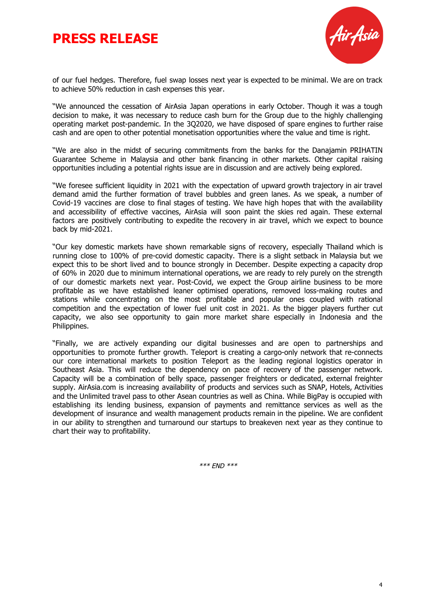# **PRESS RELEASE**



of our fuel hedges. Therefore, fuel swap losses next year is expected to be minimal. We are on track to achieve 50% reduction in cash expenses this year.

"We announced the cessation of AirAsia Japan operations in early October. Though it was a tough decision to make, it was necessary to reduce cash burn for the Group due to the highly challenging operating market post-pandemic. In the 3Q2020, we have disposed of spare engines to further raise cash and are open to other potential monetisation opportunities where the value and time is right.

"We are also in the midst of securing commitments from the banks for the Danajamin PRIHATIN Guarantee Scheme in Malaysia and other bank financing in other markets. Other capital raising opportunities including a potential rights issue are in discussion and are actively being explored.

"We foresee sufficient liquidity in 2021 with the expectation of upward growth trajectory in air travel demand amid the further formation of travel bubbles and green lanes. As we speak, a number of Covid-19 vaccines are close to final stages of testing. We have high hopes that with the availability and accessibility of effective vaccines, AirAsia will soon paint the skies red again. These external factors are positively contributing to expedite the recovery in air travel, which we expect to bounce back by mid-2021.

"Our key domestic markets have shown remarkable signs of recovery, especially Thailand which is running close to 100% of pre-covid domestic capacity. There is a slight setback in Malaysia but we expect this to be short lived and to bounce strongly in December. Despite expecting a capacity drop of 60% in 2020 due to minimum international operations, we are ready to rely purely on the strength of our domestic markets next year. Post-Covid, we expect the Group airline business to be more profitable as we have established leaner optimised operations, removed loss-making routes and stations while concentrating on the most profitable and popular ones coupled with rational competition and the expectation of lower fuel unit cost in 2021. As the bigger players further cut capacity, we also see opportunity to gain more market share especially in Indonesia and the Philippines.

"Finally, we are actively expanding our digital businesses and are open to partnerships and opportunities to promote further growth. Teleport is creating a cargo-only network that re-connects our core international markets to position Teleport as the leading regional logistics operator in Southeast Asia. This will reduce the dependency on pace of recovery of the passenger network. Capacity will be a combination of belly space, passenger freighters or dedicated, external freighter supply. AirAsia.com is increasing availability of products and services such as SNAP, Hotels, Activities and the Unlimited travel pass to other Asean countries as well as China. While BigPay is occupied with establishing its lending business, expansion of payments and remittance services as well as the development of insurance and wealth management products remain in the pipeline. We are confident in our ability to strengthen and turnaround our startups to breakeven next year as they continue to chart their way to profitability.

\*\*\* END \*\*\*